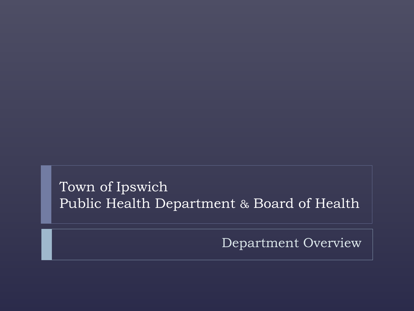Town of Ipswich Public Health Department & Board of Health

Department Overview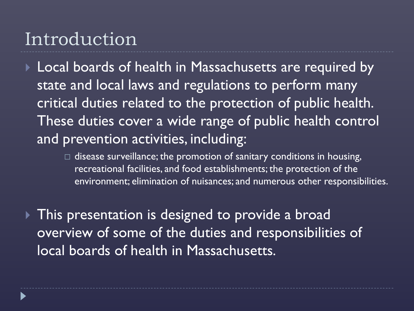#### Introduction

▶ Local boards of health in Massachusetts are required by state and local laws and regulations to perform many critical duties related to the protection of public health. These duties cover a wide range of public health control and prevention activities, including:

> $\Box$  disease surveillance; the promotion of sanitary conditions in housing, recreational facilities, and food establishments; the protection of the environment; elimination of nuisances; and numerous other responsibilities.

This presentation is designed to provide a broad overview of some of the duties and responsibilities of local boards of health in Massachusetts.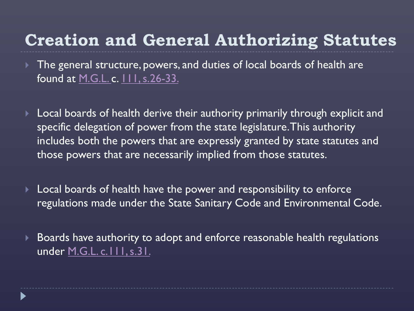#### **Creation and General Authorizing Statutes**

- ▶ The general structure, powers, and duties of local boards of health are found at [M.G.L. c](http://www.mass.gov/legis/laws/mgl/gl-111-toc.htm). [111, s.26-33.](http://www.mass.gov/legis/laws/mgl/gl-111-toc.htm)
- Local boards of health derive their authority primarily through explicit and specific delegation of power from the state legislature. This authority includes both the powers that are expressly granted by state statutes and those powers that are necessarily implied from those statutes.
- Local boards of health have the power and responsibility to enforce regulations made under the State Sanitary Code and Environmental Code.
- ▶ Boards have authority to adopt and enforce reasonable health regulations under [M.G.L. c.111, s.31.](http://www.mass.gov/legis/laws/mgl/111-31.htm)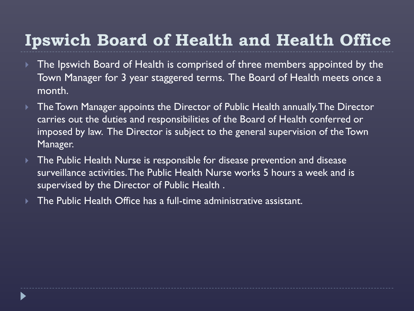#### **Ipswich Board of Health and Health Office**

- ▶ The Ipswich Board of Health is comprised of three members appointed by the Town Manager for 3 year staggered terms. The Board of Health meets once a month.
- ▶ The Town Manager appoints the Director of Public Health annually. The Director carries out the duties and responsibilities of the Board of Health conferred or imposed by law. The Director is subject to the general supervision of the Town Manager.
- **The Public Health Nurse is responsible for disease prevention and disease** surveillance activities. The Public Health Nurse works 5 hours a week and is supervised by the Director of Public Health .
- The Public Health Office has a full-time administrative assistant.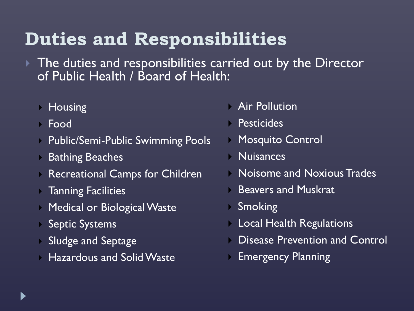## **Duties and Responsibilities**

- $\blacktriangleright$  The duties and responsibilities carried out by the Director of Public Health / Board of Health:
	- **Housing**
	- Food
	- **Public/Semi-Public Swimming Pools**
	- Bathing Beaches
	- **Recreational Camps for Children**
	- **Tanning Facilities**
	- **Medical or Biological Waste**
	- Septic Systems
	- Sludge and Septage
	- **Hazardous and Solid Waste**
- **Air Pollution**
- **Pesticides**
- **Mosquito Control**
- Nuisances
- **Noisome and Noxious Trades**
- **Beavers and Muskrat**
- Smoking
- **Local Health Regulations**
- Disease Prevention and Control
- Emergency Planning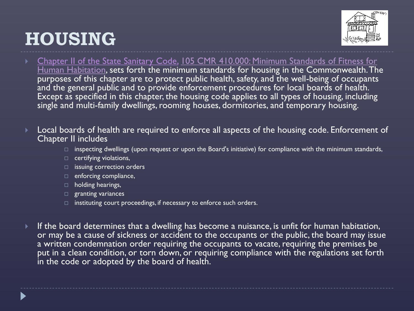#### **HOUSING**



- Chapter II of the State Sanitary Code, 105 CMR 410.000: Minimum Standards of Fitness for [Human Habitation, sets forth the minimum standards for housing in the Commonwealth. Th](http://www.mass.gov/Eeohhs2/docs/dph/regs/105cmr410.pdf)e purposes of this chapter are to protect public health, safety, and the well-being of occupants and the general public and to provide enforcement procedures for local boards of health. Except as specified in this chapter, the housing code applies to all types of housing, including single and multi-family dwellings, rooming houses, dormitories, and temporary housing.
- Local boards of health are required to enforce all aspects of the housing code. Enforcement of Chapter II includes
	- $\Box$  inspecting dwellings (upon request or upon the Board's initiative) for compliance with the minimum standards,
	- $\Box$  certifying violations,
	- $\Box$  issuing correction orders
	- $\Box$  enforcing compliance,
	- $\Box$  holding hearings,
	- $\Box$  granting variances
	- $\Box$  instituting court proceedings, if necessary to enforce such orders.
- If the board determines that a dwelling has become a nuisance, is unfit for human habitation, or may be a cause of sickness or accident to the occupants or the public, the board may issue a written condemnation order requiring the occupants to vacate, requiring the premises be put in a clean condition, or torn down, or requiring compliance with the regulations set forth in the code or adopted by the board of health.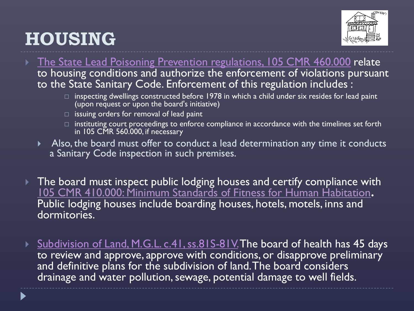## **HOUSING**



- The State Lead Poisoning Prevention regulations, 105 CMR 460.000 relate to housing conditions and authorize the enforcement of violations pursuant to the State Sanitary Code. Enforcement of this regulation includes :
	- $\Box$  inspecting dwellings constructed before 1978 in which a child under six resides for lead paint (upon request or upon the board's initiative)
	- $\Box$  issuing orders for removal of lead paint
	- $\Box$  instituting court proceedings to enforce compliance in accordance with the timelines set forth in 105 CMR 560.000, if necessary
	- Also, the board must offer to conduct a lead determination any time it conducts a Sanitary Code inspection in such premises.
- $\blacktriangleright$  The board must inspect public lodging houses and certify compliance with 105 CMR [410.000: Minimum Standards of Fitness for Human Habitation](http://www.mass.gov/Eeohhs2/docs/dph/regs/105cmr410.pdf)**.** Public lodging houses include boarding houses, hotels, motels, inns and dormitories.
- Subdivision of Land, M.G.L. c.41, ss.81S-81V. The board of health has 45 days to review and approve, approve with conditions, or disapprove preliminary and definitive plans for the subdivision of land. The board considers drainage and water pollution, sewage, potential damage to well fields.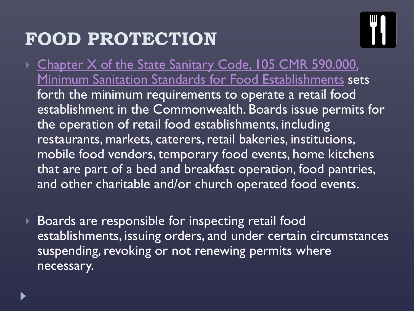## **FOOD PROTECTION**



- ▶ Chapter X of the State Sanitary Code, 105 CMR 590.000, Minimum Sanitation Standards for Food Establishments sets forth the minimum requirements to operate a retail food establishment in the Commonwealth. Boards issue permits for the operation of retail food establishments, including restaurants, markets, caterers, retail bakeries, institutions, mobile food vendors, temporary food events, home kitchens that are part of a bed and breakfast operation, food pantries, and other charitable and/or church operated food events.
- Boards are responsible for inspecting retail food establishments, issuing orders, and under certain circumstances suspending, revoking or not renewing permits where necessary.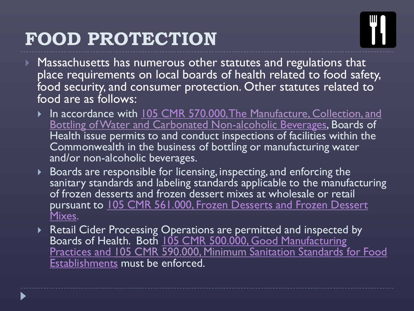## **FOOD PROTECTION**



- ▶ Massachusetts has numerous other statutes and regulations that place requirements on local boards of health related to food safety, food security, and consumer protection. Other statutes related to food are as follows:
	- In accordance with 105 CMR 570.000, The Manufacture, Collection, and [Bottling of Water and Carbonated Non-alcoholic](http://www.mass.gov/Eeohhs2/docs/dph/regs/105cmr570.pdf) Beverages, Boards of Health issue permits to and conduct inspections of facilities within the Commonwealth in the business of bottling or manufacturing water and/or non-alcoholic beverages.
	- Boards are responsible for licensing, inspecting, and enforcing the sanitary standards and labeling standards applicable to the manufacturing of frozen desserts and frozen dessert mixes at wholesale or retail pursuant to 105 CMR 561.000, Frozen Desserts and Frozen Dessert Mixes.
	- Retail Cider Processing Operations are permitted and inspected by Boards of Health. Both 105 CMR 500.000, Good Manufacturing Practices and 105 CMR [590.000, Minimum](http://www.mass.gov/Eeohhs2/docs/dph/regs/105cmr590.pdf) Sanitation Standards for Food Establishments must be enforced.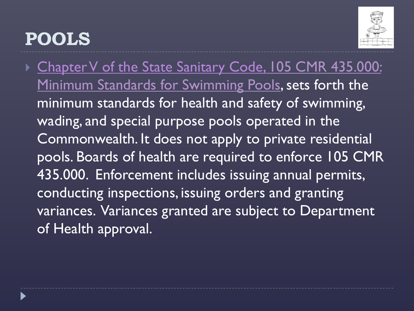#### **POOLS**



Chapter V of the State Sanitary Code, 105 CMR 435.000: Minimum Standards for Swimming Pools, sets forth the minimum standards for health and safety of swimming, wading, and special purpose pools operated in the Commonwealth. It does not apply to private residential pools. Boards of health are required to enforce 105 CMR 435.000. Enforcement includes issuing annual permits, conducting inspections, issuing orders and granting variances. Variances granted are subject to Department of Health approval.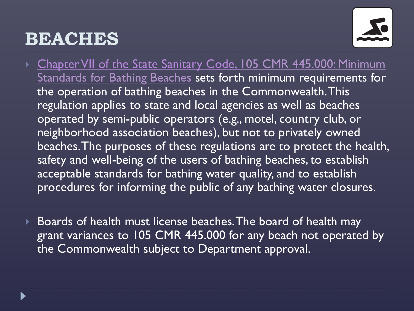#### **BEACHES**



- ▶ [Chapter VII of the State Sanitary Code, 105 CMR](http://www.mass.gov/Eeohhs2/docs/dph/regs/105cmr445.pdf) 445.000: Minimum Standards for Bathing Beaches sets forth minimum requirements for the operation of bathing beaches in the Commonwealth. This regulation applies to state and local agencies as well as beaches operated by semi-public operators (e.g., motel, country club, or neighborhood association beaches), but not to privately owned beaches. The purposes of these regulations are to protect the health, safety and well-being of the users of bathing beaches, to establish acceptable standards for bathing water quality, and to establish procedures for informing the public of any bathing water closures.
- ▶ Boards of health must license beaches. The board of health may grant variances to 105 CMR 445.000 for any beach not operated by the Commonwealth subject to Department approval.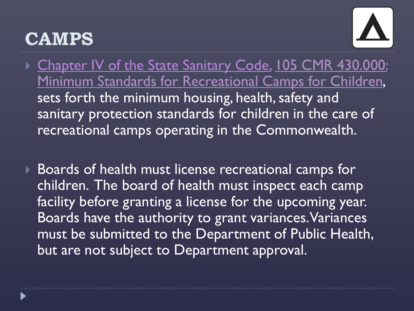#### **CAMPS**



- ▶ Chapter IV of the State Sanitary Code, 105 CMR 430.000: [Minimum Standards for Recreational Camps for Children,](http://www.mass.gov/Eeohhs2/docs/dph/regs/105cmr430.pdf)  sets forth the minimum housing, health, safety and sanitary protection standards for children in the care of recreational camps operating in the Commonwealth.
- ▶ Boards of health must license recreational camps for children. The board of health must inspect each camp facility before granting a license for the upcoming year. Boards have the authority to grant variances. Variances must be submitted to the Department of Public Health, but are not subject to Department approval.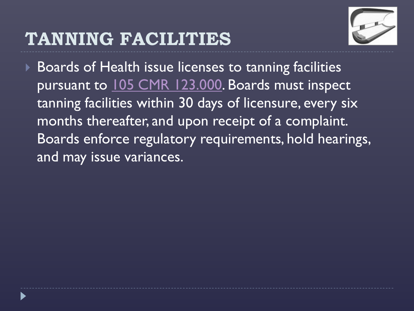#### **TANNING FACILITIES**



▶ Boards of Health issue licenses to tanning facilities pursuant to [105 CMR 123.000](http://www.mass.gov/Eeohhs2/docs/dph/regs/105cmr123.pdf). Boards must inspect tanning facilities within 30 days of licensure, every six months thereafter, and upon receipt of a complaint. Boards enforce regulatory requirements, hold hearings, and may issue variances.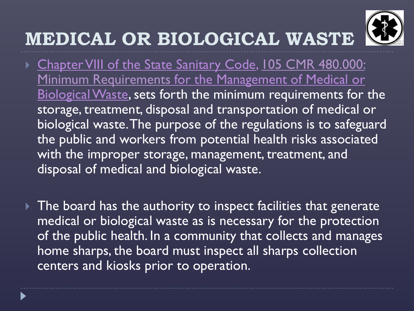## **MEDICAL OR BIOLOGICAL WASTE**



- ▶ [Chapter VIII of the State Sanitary Code, 105 CMR](http://www.mass.gov/Eeohhs2/docs/dph/regs/105cmr480.pdf) 480.000: Minimum Requirements for the Management of Medical or Biological Waste, sets forth the minimum requirements for the storage, treatment, disposal and transportation of medical or biological waste. The purpose of the regulations is to safeguard the public and workers from potential health risks associated with the improper storage, management, treatment, and disposal of medical and biological waste.
- $\triangleright$  The board has the authority to inspect facilities that generate medical or biological waste as is necessary for the protection of the public health. In a community that collects and manages home sharps, the board must inspect all sharps collection centers and kiosks prior to operation.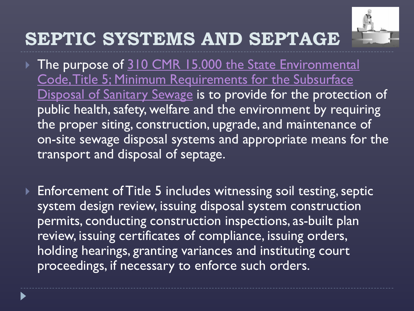

## **SEPTIC SYSTEMS AND SEPTAGE**

- The purpose of 310 CMR 15.000 the State Environmental Code, Title 5; Minimum Requirements for the Subsurface Disposal of Sanitary Sewage is to provide for the protection of public health, safety, welfare and the environment by requiring the proper siting, construction, upgrade, and maintenance of on-site sewage disposal systems and appropriate means for the transport and disposal of septage.
- ▶ Enforcement of Title 5 includes witnessing soil testing, septic system design review, issuing disposal system construction permits, conducting construction inspections, as-built plan review, issuing certificates of compliance, issuing orders, holding hearings, granting variances and instituting court proceedings, if necessary to enforce such orders.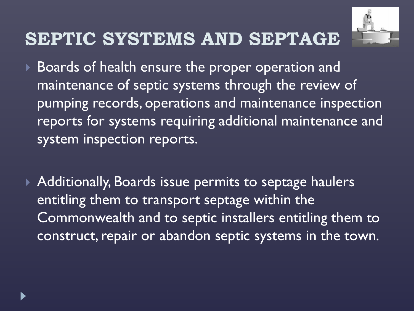

#### **SEPTIC SYSTEMS AND SEPTAGE**

- Boards of health ensure the proper operation and maintenance of septic systems through the review of pumping records, operations and maintenance inspection reports for systems requiring additional maintenance and system inspection reports.
- ▶ Additionally, Boards issue permits to septage haulers entitling them to transport septage within the Commonwealth and to septic installers entitling them to construct, repair or abandon septic systems in the town.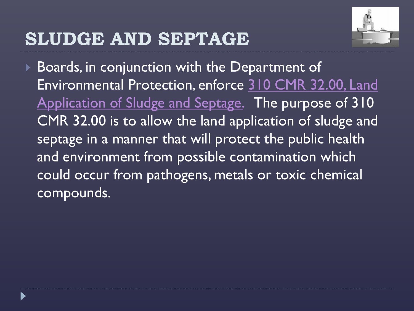#### **SLUDGE AND SEPTAGE**



 Boards, in conjunction with the Department of Environmental Protection, enforce 310 CMR 32.00, Land Application of Sludge and Septage. The purpose of 310 CMR 32.00 is to allow the land application of sludge and septage in a manner that will protect the public health and environment from possible contamination which could occur from pathogens, metals or toxic chemical compounds.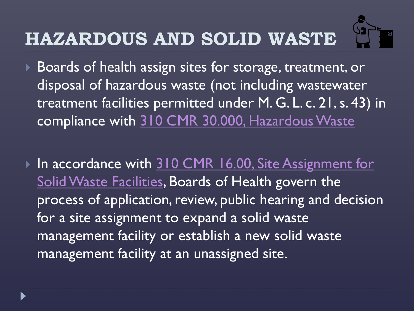# **HAZARDOUS AND SOLID WASTE**



Boards of health assign sites for storage, treatment, or disposal of hazardous waste (not including wastewater treatment facilities permitted under M. G. L. c. 21, s. 43) in compliance with 310 CMR 30.000, Hazardous Waste

In accordance with 310 CMR 16.00, Site Assignment for Solid Waste Facilities, Boards of Health govern the process of application, review, public hearing and decision for a site assignment to expand a solid waste management facility or establish a new solid waste management facility at an unassigned site.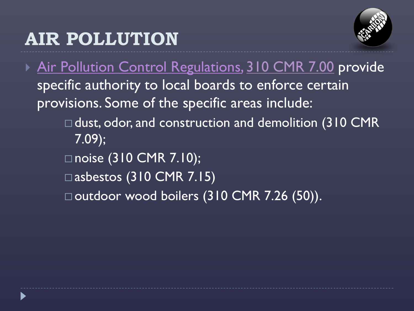## **AIR POLLUTION**



▶ Air Pollution Control Regulations, [310 CMR 7.00](http://www.mass.gov/dep/air/laws/regulati.htm) provide specific authority to local boards to enforce certain provisions. Some of the specific areas include: □ dust, odor, and construction and demolition (310 CMR 7.09); □noise (310 CMR 7.10); □ asbestos (310 CMR 7.15) □ outdoor wood boilers (310 CMR 7.26 (50)).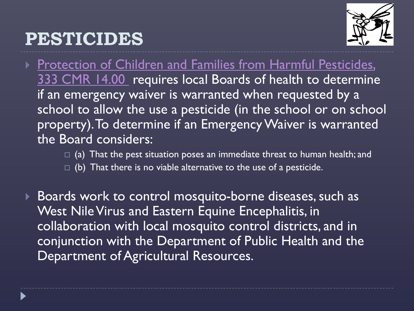#### **PESTICIDES**



- ▶ Protection of Children and Families from Harmful Pesticides, 333 CMR 14.00 requires local Boards of health to determine if an emergency waiver is warranted when requested by a school to allow the use a pesticide (in the school or on school property). To determine if an Emergency Waiver is warranted the Board considers:
	- $\Box$  (a) That the pest situation poses an immediate threat to human health; and
	- $\Box$  (b) That there is no viable alternative to the use of a pesticide.
- Boards work to control mosquito-borne diseases, such as West Nile Virus and Eastern Equine Encephalitis, in collaboration with local mosquito control districts, and in conjunction with the Department of Public Health and the Department of Agricultural Resources.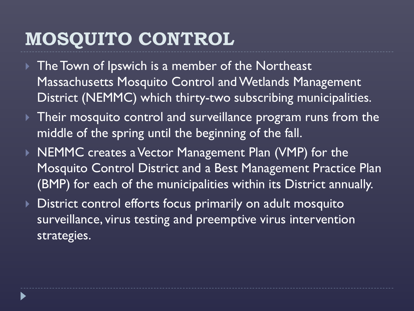## **MOSQUITO CONTROL**

- ▶ The Town of Ipswich is a member of the Northeast Massachusetts Mosquito Control and Wetlands Management District (NEMMC) which thirty-two subscribing municipalities.
- ▶ Their mosquito control and surveillance program runs from the middle of the spring until the beginning of the fall.
- ▶ NEMMC creates a Vector Management Plan (VMP) for the Mosquito Control District and a Best Management Practice Plan (BMP) for each of the municipalities within its District annually.
- **District control efforts focus primarily on adult mosquito** surveillance, virus testing and preemptive virus intervention strategies.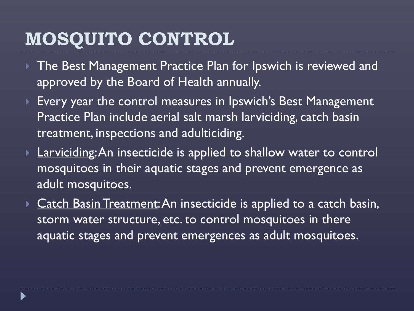## **MOSQUITO CONTROL**

- ▶ The Best Management Practice Plan for Ipswich is reviewed and approved by the Board of Health annually.
- ▶ Every year the control measures in Ipswich's Best Management Practice Plan include aerial salt marsh larviciding, catch basin treatment, inspections and adulticiding.
- **Larviciding: An insecticide is applied to shallow water to control** mosquitoes in their aquatic stages and prevent emergence as adult mosquitoes.
- **Catch Basin Treatment: An insecticide is applied to a catch basin,** storm water structure, etc. to control mosquitoes in there aquatic stages and prevent emergences as adult mosquitoes.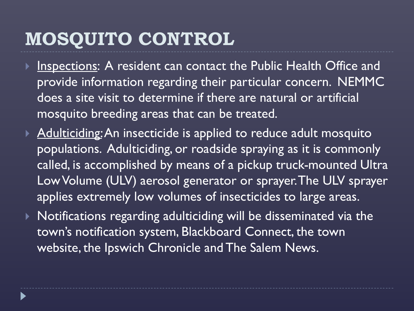## **MOSQUITO CONTROL**

- Inspections: A resident can contact the Public Health Office and provide information regarding their particular concern. NEMMC does a site visit to determine if there are natural or artificial mosquito breeding areas that can be treated.
- Adulticiding: An insecticide is applied to reduce adult mosquito populations. Adulticiding, or roadside spraying as it is commonly called, is accomplished by means of a pickup truck-mounted Ultra Low Volume (ULV) aerosol generator or sprayer. The ULV sprayer applies extremely low volumes of insecticides to large areas.
- Notifications regarding adulticiding will be disseminated via the town's notification system, Blackboard Connect, the town website, the Ipswich Chronicle and The Salem News.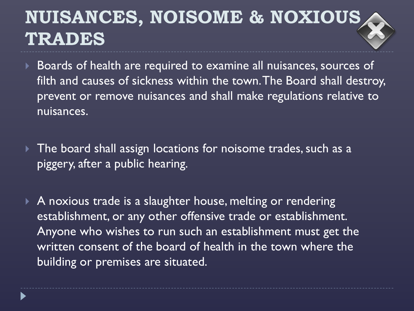## **NUISANCES, NOISOME & NOXIOUS TRADES**

- Boards of health are required to examine all nuisances, sources of filth and causes of sickness within the town. The Board shall destroy, prevent or remove nuisances and shall make regulations relative to nuisances.
- The board shall assign locations for noisome trades, such as a piggery, after a public hearing.
- ▶ A noxious trade is a slaughter house, melting or rendering establishment, or any other offensive trade or establishment. Anyone who wishes to run such an establishment must get the written consent of the board of health in the town where the building or premises are situated.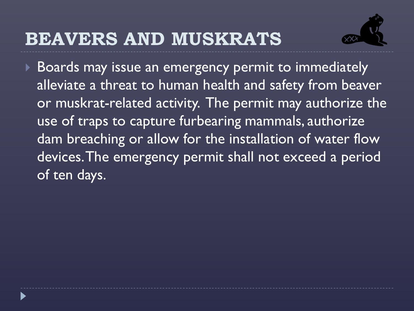#### **BEAVERS AND MUSKRATS**



 Boards may issue an emergency permit to immediately alleviate a threat to human health and safety from beaver or muskrat-related activity. The permit may authorize the use of traps to capture furbearing mammals, authorize dam breaching or allow for the installation of water flow devices. The emergency permit shall not exceed a period of ten days.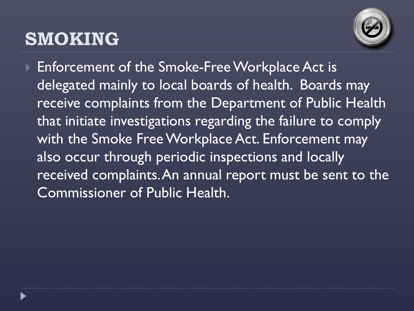## **SMOKING**



▶ Enforcement of the Smoke-Free Workplace Act is delegated mainly to local boards of health. Boards may receive complaints from the Department of Public Health that initiate investigations regarding the failure to comply with the Smoke Free Workplace Act. Enforcement may also occur through periodic inspections and locally received complaints. An annual report must be sent to the Commissioner of Public Health.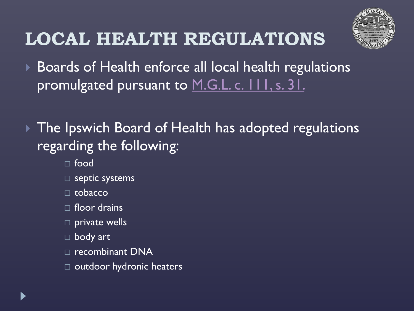

## **LOCAL HEALTH REGULATIONS**

- ▶ Boards of Health enforce all local health regulations promulgated pursuant to M.G.L. c. 111, s. 31.
- ▶ The Ipswich Board of Health has adopted regulations regarding the following:
	- food
	- $\square$  septic systems
	- $\Box$  tobacco
	- $\Box$  floor drains
	- $\square$  private wells
	- body art
	- □ recombinant DNA
	- $\Box$  outdoor hydronic heaters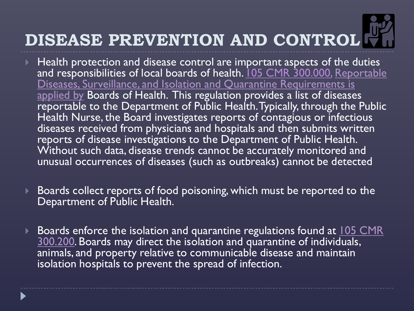# **DISEASE PREVENTION AND CONTROL**

- Health protection and disease control are important aspects of the duties and responsibilities of local boards of health. 105 CMR 300.000, Reportable Diseases, Surveillance, and Isolation and Quarantine Requirements is applied by Boards of Health. This regulation provides a list of diseases reportable to the Department of Public Health. Typically, through the Public Health Nurse, the Board investigates reports of contagious or infectious diseases received from physicians and hospitals and then submits written reports of disease investigations to the Department of Public Health. Without such data, disease trends cannot be accurately monitored and unusual occurrences of diseases (such as outbreaks) cannot be detected
- **Boards collect reports of food poisoning, which must be reported to the** Department of Public Health.
- Boards enforce the isolation and quarantine regulations found at  $105$  CMR 300.200. Boards may direct the isolation and quarantine of individuals, animals, and property relative to communicable disease and maintain isolation hospitals to prevent the spread of infection.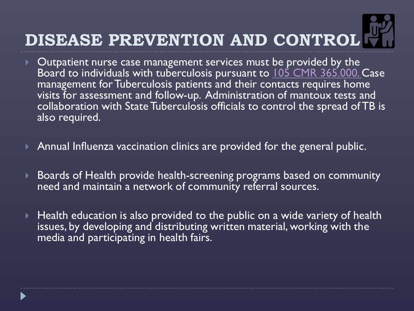# **DISEASE PREVENTION AND CONTROL**

- $\triangleright$  Outpatient nurse case management services must be provided by the Board to individuals with tuberculosis pursuant to [105 CMR](http://www.mass.gov/legis/laws/mgl/111-94a.htm) 365.000. Case management for Tuberculosis patients and their contacts requires home visits for assessment and follow-up. Administration of mantoux tests and collaboration with State Tuberculosis officials to control the spread of TB is also required.
- Annual Influenza vaccination clinics are provided for the general public.
- Boards of Health provide health-screening programs based on community need and maintain a network of community referral sources.
- Health education is also provided to the public on a wide variety of health issues, by developing and distributing written material, working with the media and participating in health fairs.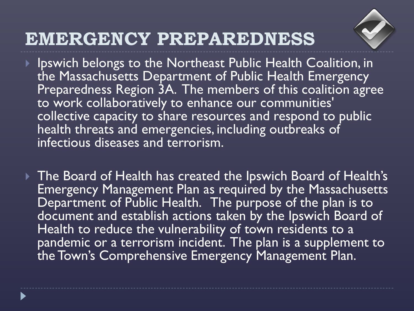

- ▶ Ipswich belongs to the Northeast Public Health Coalition, in the Massachusetts Department of Public Health Emergency Preparedness Region 3A. The members of this coalition agree to work collaboratively to enhance our communities' collective capacity to share resources and respond to public health threats and emergencies, including outbreaks of infectious diseases and terrorism.
- The Board of Health has created the Ipswich Board of Health's Emergency Management Plan as required by the Massachusetts Department of Public Health. The purpose of the plan is to document and establish actions taken by the Ipswich Board of Health to reduce the vulnerability of town residents to a pandemic or a terrorism incident. The plan is a supplement to the Town's Comprehensive Emergency Management Plan.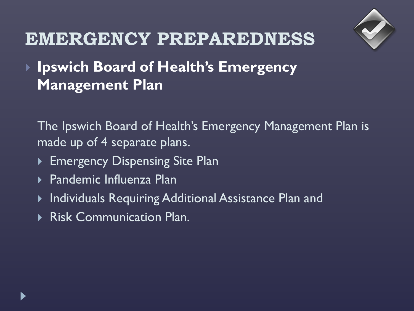

 **Ipswich Board of Health's Emergency Management Plan**

The Ipswich Board of Health's Emergency Management Plan is made up of 4 separate plans.

- Emergency Dispensing Site Plan
- Pandemic Influenza Plan
- ▶ Individuals Requiring Additional Assistance Plan and
- Risk Communication Plan.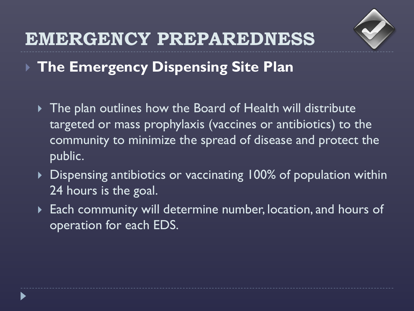

**The Emergency Dispensing Site Plan**

- The plan outlines how the Board of Health will distribute targeted or mass prophylaxis (vaccines or antibiotics) to the community to minimize the spread of disease and protect the public.
- ▶ Dispensing antibiotics or vaccinating 100% of population within 24 hours is the goal.
- **Each community will determine number, location, and hours of** operation for each EDS.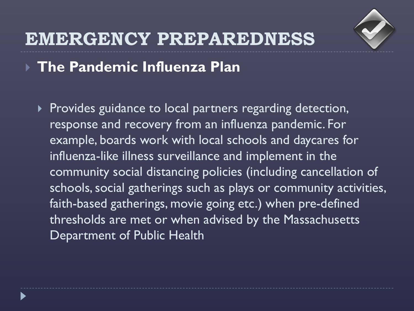

**The Pandemic Influenza Plan**

Provides guidance to local partners regarding detection, response and recovery from an influenza pandemic. For example, boards work with local schools and daycares for influenza-like illness surveillance and implement in the community social distancing policies (including cancellation of schools, social gatherings such as plays or community activities, faith-based gatherings, movie going etc.) when pre-defined thresholds are met or when advised by the Massachusetts Department of Public Health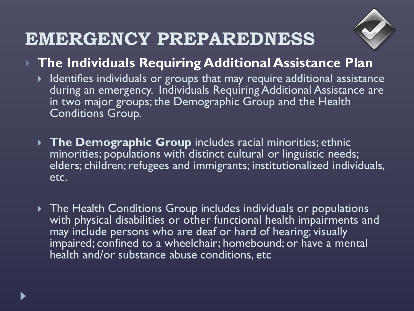

- **The Individuals Requiring Additional Assistance Plan**
	- $\blacktriangleright$  Identifies individuals or groups that may require additional assistance during an emergency. Individuals Requiring Additional Assistance are in two major groups; the Demographic Group and the Health Conditions Group*.*
	- **The Demographic Group** includes racial minorities; ethnic minorities; populations with distinct cultural or linguistic needs; elders; children; refugees and immigrants; institutionalized individuals, etc.
	- The Health Conditions Group includes individuals or populations with physical disabilities or other functional health impairments and may include persons who are deaf or hard of hearing; visually impaired; confined to a wheelchair; homebound; or have a mental health and/or substance abuse conditions, etc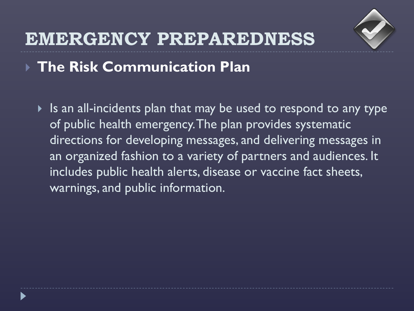

#### **The Risk Communication Plan**

If Is an all-incidents plan that may be used to respond to any type of public health emergency. The plan provides systematic directions for developing messages, and delivering messages in an organized fashion to a variety of partners and audiences. It includes public health alerts, disease or vaccine fact sheets, warnings, and public information.